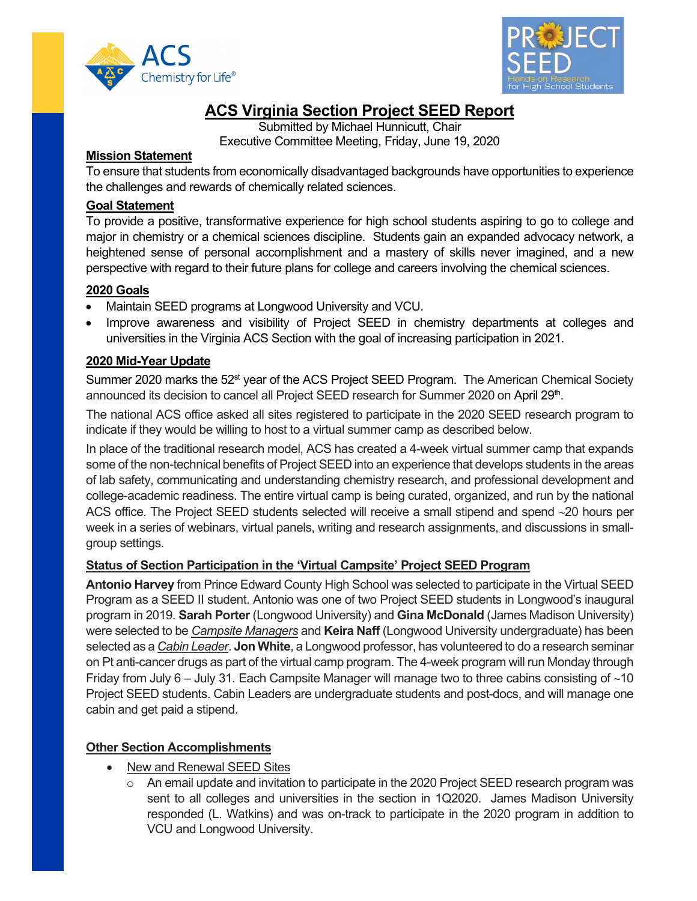



# **ACS Virginia Section Project SEED Report**

Submitted by Michael Hunnicutt, Chair Executive Committee Meeting, Friday, June 19, 2020

#### **Mission Statement**

To ensure that students from economically disadvantaged backgrounds have opportunities to experience the challenges and rewards of chemically related sciences.

## **Goal Statement**

To provide a positive, transformative experience for high school students aspiring to go to college and major in chemistry or a chemical sciences discipline. Students gain an expanded advocacy network, a heightened sense of personal accomplishment and a mastery of skills never imagined, and a new perspective with regard to their future plans for college and careers involving the chemical sciences.

#### **2020 Goals**

- Maintain SEED programs at Longwood University and VCU.
- Improve awareness and visibility of Project SEED in chemistry departments at colleges and universities in the Virginia ACS Section with the goal of increasing participation in 2021.

## **2020 Mid-Year Update**

Summer 2020 marks the 52<sup>st</sup> year of the ACS Project SEED Program. The American Chemical Society announced its decision to cancel all Project SEED research for Summer 2020 on April 29<sup>th</sup>.

The national ACS office asked all sites registered to participate in the 2020 SEED research program to indicate if they would be willing to host to a virtual summer camp as described below.

In place of the traditional research model, ACS has created a 4-week virtual summer camp that expands some of the non-technical benefits of Project SEED into an experience that develops students in the areas of lab safety, communicating and understanding chemistry research, and professional development and college-academic readiness. The entire virtual camp is being curated, organized, and run by the national ACS office. The Project SEED students selected will receive a small stipend and spend ∼20 hours per week in a series of webinars, virtual panels, writing and research assignments, and discussions in smallgroup settings.

## **Status of Section Participation in the 'Virtual Campsite' Project SEED Program**

**Antonio Harvey** from Prince Edward County High School was selected to participate in the Virtual SEED Program as a SEED II student. Antonio was one of two Project SEED students in Longwood's inaugural program in 2019. **Sarah Porter** (Longwood University) and **Gina McDonald** (James Madison University) were selected to be *Campsite Managers* and **Keira Naff** (Longwood University undergraduate) has been selected as a *Cabin Leader*. **Jon White**, a Longwood professor, has volunteered to do a research seminar on Pt anti-cancer drugs as part of the virtual camp program. The 4-week program will run Monday through Friday from July 6 – July 31. Each Campsite Manager will manage two to three cabins consisting of ∼10 Project SEED students. Cabin Leaders are undergraduate students and post-docs, and will manage one cabin and get paid a stipend.

## **Other Section Accomplishments**

- New and Renewal SEED Sites
	- $\circ$  An email update and invitation to participate in the 2020 Project SEED research program was sent to all colleges and universities in the section in 1Q2020. James Madison University responded (L. Watkins) and was on-track to participate in the 2020 program in addition to VCU and Longwood University.